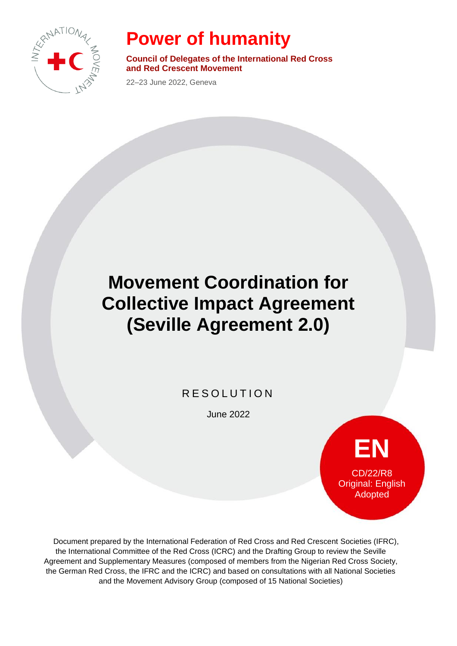

## **Power of humanity**

**Council of Delegates of the International Red Cross and Red Crescent Movement**

22–23 June 2022, Geneva

## **Movement Coordination for Collective Impact Agreement (Seville Agreement 2.0)**

## R E S O L U T I O N

June 2022

**EN** CD/22/R8 Original: English Adopted

Document prepared by the International Federation of Red Cross and Red Crescent Societies (IFRC), the International Committee of the Red Cross (ICRC) and the Drafting Group to review the Seville Agreement and Supplementary Measures (composed of members from the Nigerian Red Cross Society, the German Red Cross, the IFRC and the ICRC) and based on consultations with all National Societies and the Movement Advisory Group (composed of 15 National Societies)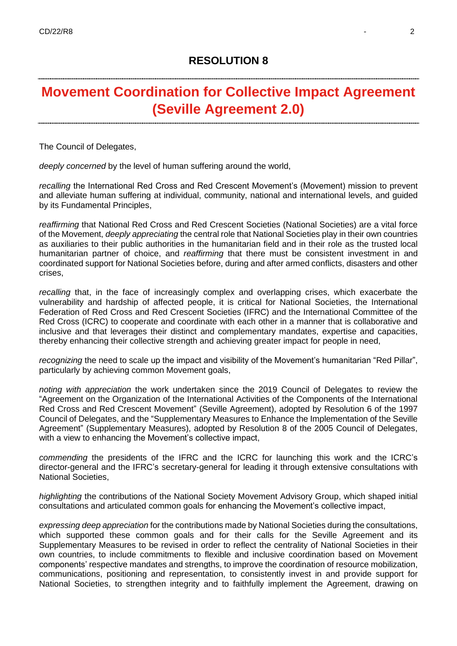## **Movement Coordination for Collective Impact Agreement (Seville Agreement 2.0)**

The Council of Delegates,

*deeply concerned* by the level of human suffering around the world,

*recalling* the International Red Cross and Red Crescent Movement's (Movement) mission to prevent and alleviate human suffering at individual, community, national and international levels, and guided by its Fundamental Principles,

*reaffirming* that National Red Cross and Red Crescent Societies (National Societies) are a vital force of the Movement, *deeply appreciating* the central role that National Societies play in their own countries as auxiliaries to their public authorities in the humanitarian field and in their role as the trusted local humanitarian partner of choice, and *reaffirming* that there must be consistent investment in and coordinated support for National Societies before, during and after armed conflicts, disasters and other crises,

*recalling* that, in the face of increasingly complex and overlapping crises, which exacerbate the vulnerability and hardship of affected people, it is critical for National Societies, the International Federation of Red Cross and Red Crescent Societies (IFRC) and the International Committee of the Red Cross (ICRC) to cooperate and coordinate with each other in a manner that is collaborative and inclusive and that leverages their distinct and complementary mandates, expertise and capacities, thereby enhancing their collective strength and achieving greater impact for people in need,

*recognizing* the need to scale up the impact and visibility of the Movement's humanitarian "Red Pillar", particularly by achieving common Movement goals,

*noting with appreciation* the work undertaken since the 2019 Council of Delegates to review the "Agreement on the Organization of the International Activities of the Components of the International Red Cross and Red Crescent Movement" (Seville Agreement), adopted by Resolution 6 of the 1997 Council of Delegates, and the "Supplementary Measures to Enhance the Implementation of the Seville Agreement" (Supplementary Measures), adopted by Resolution 8 of the 2005 Council of Delegates, with a view to enhancing the Movement's collective impact,

*commending* the presidents of the IFRC and the ICRC for launching this work and the ICRC's director-general and the IFRC's secretary-general for leading it through extensive consultations with National Societies,

*highlighting* the contributions of the National Society Movement Advisory Group, which shaped initial consultations and articulated common goals for enhancing the Movement's collective impact,

*expressing deep appreciation* for the contributions made by National Societies during the consultations, which supported these common goals and for their calls for the Seville Agreement and its Supplementary Measures to be revised in order to reflect the centrality of National Societies in their own countries, to include commitments to flexible and inclusive coordination based on Movement components' respective mandates and strengths, to improve the coordination of resource mobilization, communications, positioning and representation, to consistently invest in and provide support for National Societies, to strengthen integrity and to faithfully implement the Agreement, drawing on